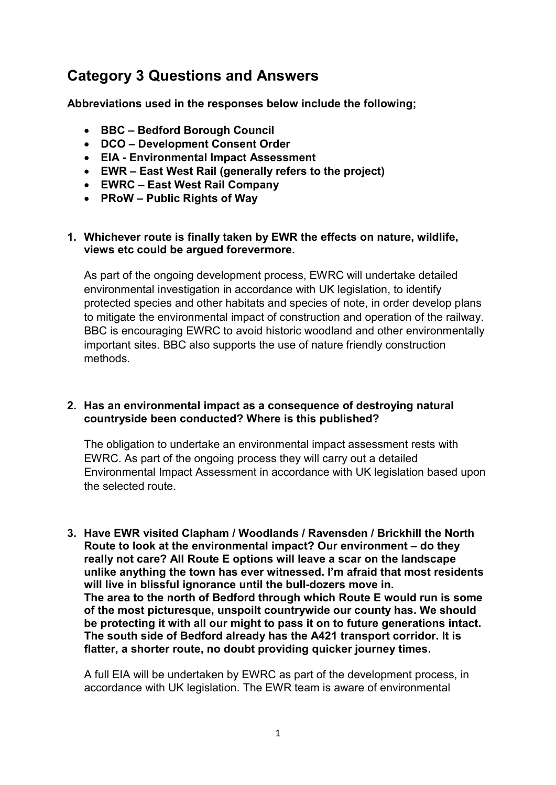# Category 3 Questions and Answers

Abbreviations used in the responses below include the following;

- BBC Bedford Borough Council
- DCO Development Consent Order
- EIA Environmental Impact Assessment
- EWR East West Rail (generally refers to the project)
- EWRC East West Rail Company
- PRoW Public Rights of Way

## 1. Whichever route is finally taken by EWR the effects on nature, wildlife, views etc could be argued forevermore.

 As part of the ongoing development process, EWRC will undertake detailed environmental investigation in accordance with UK legislation, to identify protected species and other habitats and species of note, in order develop plans to mitigate the environmental impact of construction and operation of the railway. BBC is encouraging EWRC to avoid historic woodland and other environmentally important sites. BBC also supports the use of nature friendly construction methods.

## 2. Has an environmental impact as a consequence of destroying natural countryside been conducted? Where is this published?

 The obligation to undertake an environmental impact assessment rests with EWRC. As part of the ongoing process they will carry out a detailed Environmental Impact Assessment in accordance with UK legislation based upon the selected route.

 3. Have EWR visited Clapham / Woodlands / Ravensden / Brickhill the North Route to look at the environmental impact? Our environment – do they really not care? All Route E options will leave a scar on the landscape unlike anything the town has ever witnessed. I'm afraid that most residents will live in blissful ignorance until the bull-dozers move in. The area to the north of Bedford through which Route E would run is some of the most picturesque, unspoilt countrywide our county has. We should be protecting it with all our might to pass it on to future generations intact. The south side of Bedford already has the A421 transport corridor. It is flatter, a shorter route, no doubt providing quicker journey times.

 A full EIA will be undertaken by EWRC as part of the development process, in accordance with UK legislation. The EWR team is aware of environmental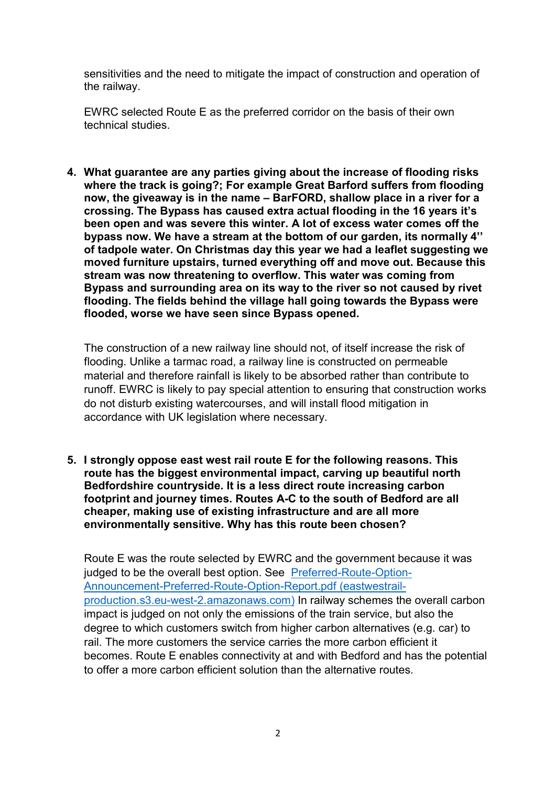sensitivities and the need to mitigate the impact of construction and operation of the railway.

 EWRC selected Route E as the preferred corridor on the basis of their own technical studies.

 4. What guarantee are any parties giving about the increase of flooding risks where the track is going?; For example Great Barford suffers from flooding now, the giveaway is in the name – BarFORD, shallow place in a river for a crossing. The Bypass has caused extra actual flooding in the 16 years it's been open and was severe this winter. A lot of excess water comes off the bypass now. We have a stream at the bottom of our garden, its normally 4'' of tadpole water. On Christmas day this year we had a leaflet suggesting we moved furniture upstairs, turned everything off and move out. Because this stream was now threatening to overflow. This water was coming from Bypass and surrounding area on its way to the river so not caused by rivet flooding. The fields behind the village hall going towards the Bypass were flooded, worse we have seen since Bypass opened.

 The construction of a new railway line should not, of itself increase the risk of flooding. Unlike a tarmac road, a railway line is constructed on permeable material and therefore rainfall is likely to be absorbed rather than contribute to runoff. EWRC is likely to pay special attention to ensuring that construction works do not disturb existing watercourses, and will install flood mitigation in accordance with UK legislation where necessary.

 5. I strongly oppose east west rail route E for the following reasons. This route has the biggest environmental impact, carving up beautiful north Bedfordshire countryside. It is a less direct route increasing carbon footprint and journey times. Routes A-C to the south of Bedford are all cheaper, making use of existing infrastructure and are all more environmentally sensitive. Why has this route been chosen?

 Route E was the route selected by EWRC and the government because it was judged to be the overall best option. See Preferred-Route-Option- production.s3.eu-west-2.amazonaws.com) In railway schemes the overall carbon impact is judged on not only the emissions of the train service, but also the degree to which customers switch from higher carbon alternatives (e.g. car) to rail. The more customers the service carries the more carbon efficient it becomes. Route E enables connectivity at and with Bedford and has the potential to offer a more carbon efficient solution than the alternative routes. Announcement-Preferred-Route-Option-Report.pdf (eastwestrail-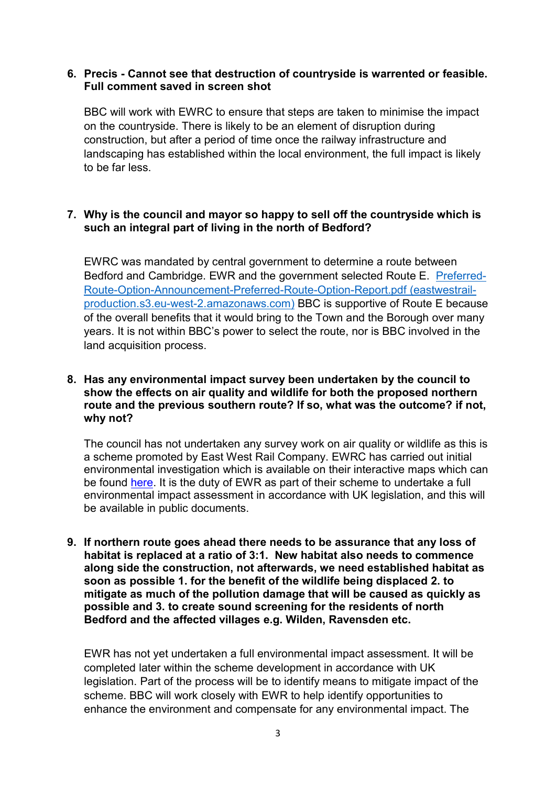## 6. Precis - Cannot see that destruction of countryside is warrented or feasible. Full comment saved in screen shot

 BBC will work with EWRC to ensure that steps are taken to minimise the impact on the countryside. There is likely to be an element of disruption during construction, but after a period of time once the railway infrastructure and landscaping has established within the local environment, the full impact is likely to be far less.

## 7. Why is the council and mayor so happy to sell off the countryside which is such an integral part of living in the north of Bedford?

 EWRC was mandated by central government to determine a route between Bedford and Cambridge. EWR and the government selected Route E. Preferred- production.s3.eu-west-2.amazonaws.com) BBC is supportive of Route E because of the overall benefits that it would bring to the Town and the Borough over many years. It is not within BBC's power to select the route, nor is BBC involved in the land acquisition process. Route-Option-Announcement-Preferred-Route-Option-Report.pdf (eastwestrail-

## 8. Has any environmental impact survey been undertaken by the council to show the effects on air quality and wildlife for both the proposed northern route and the previous southern route? If so, what was the outcome? if not, why not?

 The council has not undertaken any survey work on air quality or wildlife as this is a scheme promoted by East West Rail Company. EWRC has carried out initial environmental investigation which is available on their interactive maps which can be found <u>here</u>. It is the duty of EWR as part of their scheme to undertake a full environmental impact assessment in accordance with UK legislation, and this will be available in public documents.

 9. If northern route goes ahead there needs to be assurance that any loss of habitat is replaced at a ratio of 3:1. New habitat also needs to commence along side the construction, not afterwards, we need established habitat as soon as possible 1. for the benefit of the wildlife being displaced 2. to mitigate as much of the pollution damage that will be caused as quickly as possible and 3. to create sound screening for the residents of north Bedford and the affected villages e.g. Wilden, Ravensden etc.

 EWR has not yet undertaken a full environmental impact assessment. It will be completed later within the scheme development in accordance with UK legislation. Part of the process will be to identify means to mitigate impact of the scheme. BBC will work closely with EWR to help identify opportunities to enhance the environment and compensate for any environmental impact. The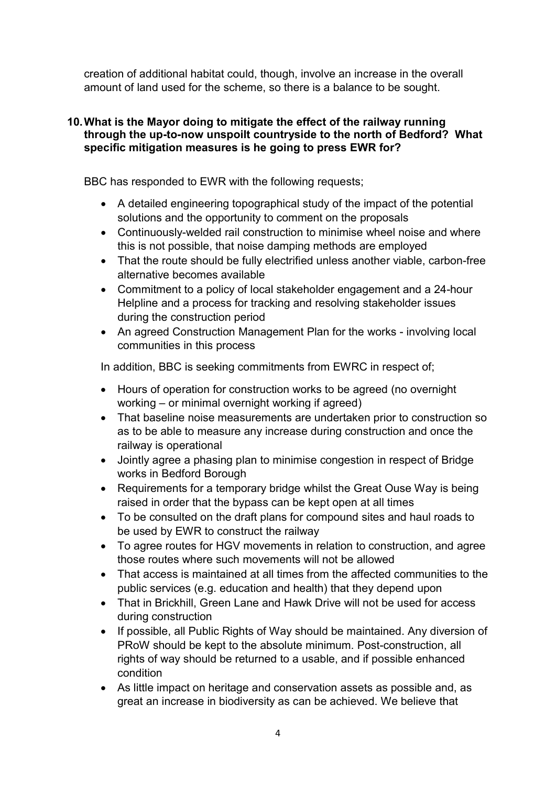creation of additional habitat could, though, involve an increase in the overall amount of land used for the scheme, so there is a balance to be sought.

## 10.What is the Mayor doing to mitigate the effect of the railway running through the up-to-now unspoilt countryside to the north of Bedford? What specific mitigation measures is he going to press EWR for?

BBC has responded to EWR with the following requests;

- A detailed engineering topographical study of the impact of the potential solutions and the opportunity to comment on the proposals
- Continuously-welded rail construction to minimise wheel noise and where this is not possible, that noise damping methods are employed
- That the route should be fully electrified unless another viable, carbon-free alternative becomes available
- Commitment to a policy of local stakeholder engagement and a 24-hour Helpline and a process for tracking and resolving stakeholder issues during the construction period
- An agreed Construction Management Plan for the works involving local communities in this process

In addition, BBC is seeking commitments from EWRC in respect of;

- Hours of operation for construction works to be agreed (no overnight working – or minimal overnight working if agreed)
- That baseline noise measurements are undertaken prior to construction so as to be able to measure any increase during construction and once the railway is operational
- Jointly agree a phasing plan to minimise congestion in respect of Bridge works in Bedford Borough
- Requirements for a temporary bridge whilst the Great Ouse Way is being raised in order that the bypass can be kept open at all times
- To be consulted on the draft plans for compound sites and haul roads to be used by EWR to construct the railway
- $\bullet$  those routes where such movements will not be allowed To agree routes for HGV movements in relation to construction, and agree
- That access is maintained at all times from the affected communities to the public services (e.g. education and health) that they depend upon
- That in Brickhill, Green Lane and Hawk Drive will not be used for access during construction
- $\bullet$  PRoW should be kept to the absolute minimum. Post-construction, all rights of way should be returned to a usable, and if possible enhanced If possible, all Public Rights of Way should be maintained. Any diversion of condition
- As little impact on heritage and conservation assets as possible and, as great an increase in biodiversity as can be achieved. We believe that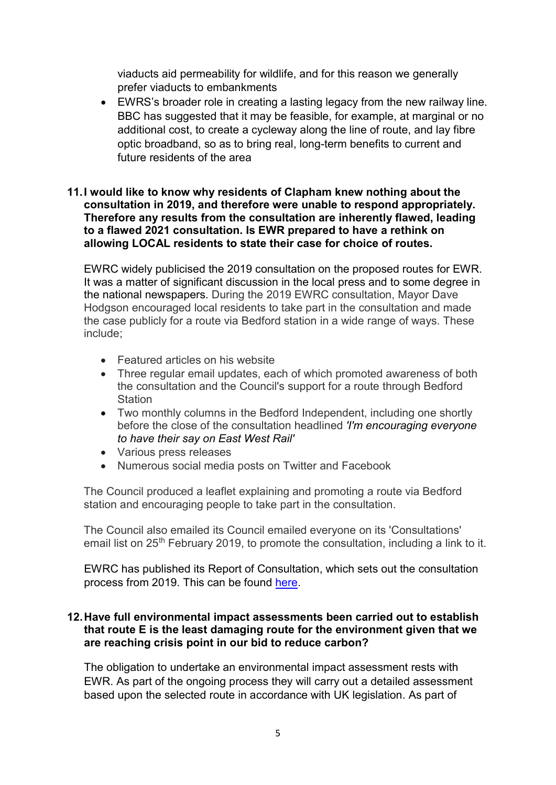viaducts aid permeability for wildlife, and for this reason we generally prefer viaducts to embankments

 $\bullet$  BBC has suggested that it may be feasible, for example, at marginal or no additional cost, to create a cycleway along the line of route, and lay fibre optic broadband, so as to bring real, long-term benefits to current and future residents of the area EWRS's broader role in creating a lasting legacy from the new railway line.

## 11.I would like to know why residents of Clapham knew nothing about the consultation in 2019, and therefore were unable to respond appropriately. Therefore any results from the consultation are inherently flawed, leading to a flawed 2021 consultation. Is EWR prepared to have a rethink on allowing LOCAL residents to state their case for choice of routes.

 EWRC widely publicised the 2019 consultation on the proposed routes for EWR. It was a matter of significant discussion in the local press and to some degree in the national newspapers. During the 2019 EWRC consultation, Mayor Dave Hodgson encouraged local residents to take part in the consultation and made the case publicly for a route via Bedford station in a wide range of ways. These include;

- Featured articles on his website
- Three regular email updates, each of which promoted awareness of both the consultation and the Council's support for a route through Bedford **Station**
- Two monthly columns in the Bedford Independent, including one shortly before the close of the consultation headlined 'I'm encouraging everyone to have their say on East West Rail'
- Various press releases
- Numerous social media posts on Twitter and Facebook

 The Council produced a leaflet explaining and promoting a route via Bedford station and encouraging people to take part in the consultation.

 The Council also emailed its Council emailed everyone on its 'Consultations' email list on 25<sup>th</sup> February 2019, to promote the consultation, including a link to it.

 EWRC has published its Report of Consultation, which sets out the consultation process from 2019. This can be found here.

## 12.Have full environmental impact assessments been carried out to establish that route E is the least damaging route for the environment given that we are reaching crisis point in our bid to reduce carbon?

 The obligation to undertake an environmental impact assessment rests with EWR. As part of the ongoing process they will carry out a detailed assessment based upon the selected route in accordance with UK legislation. As part of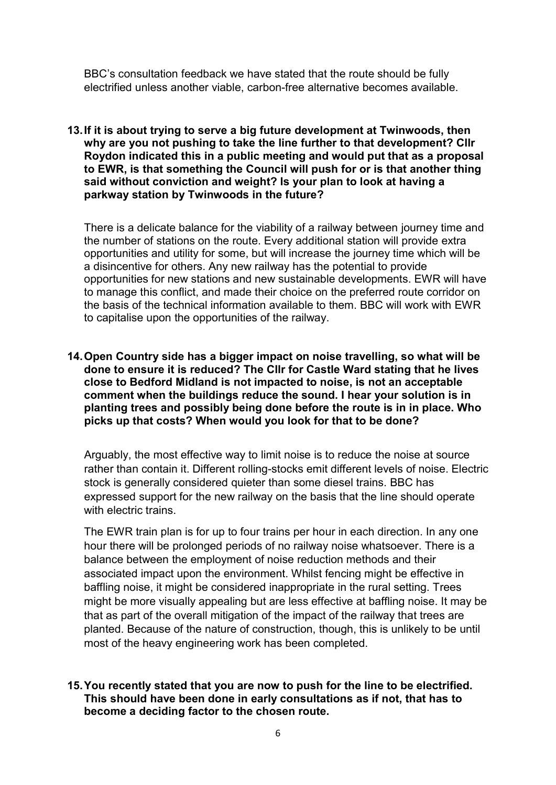BBC's consultation feedback we have stated that the route should be fully electrified unless another viable, carbon-free alternative becomes available.

 13.If it is about trying to serve a big future development at Twinwoods, then why are you not pushing to take the line further to that development? Cllr Roydon indicated this in a public meeting and would put that as a proposal to EWR, is that something the Council will push for or is that another thing said without conviction and weight? Is your plan to look at having a parkway station by Twinwoods in the future?

 There is a delicate balance for the viability of a railway between journey time and the number of stations on the route. Every additional station will provide extra opportunities and utility for some, but will increase the journey time which will be a disincentive for others. Any new railway has the potential to provide opportunities for new stations and new sustainable developments. EWR will have to manage this conflict, and made their choice on the preferred route corridor on the basis of the technical information available to them. BBC will work with EWR to capitalise upon the opportunities of the railway.

 14.Open Country side has a bigger impact on noise travelling, so what will be done to ensure it is reduced? The Cllr for Castle Ward stating that he lives close to Bedford Midland is not impacted to noise, is not an acceptable comment when the buildings reduce the sound. I hear your solution is in planting trees and possibly being done before the route is in in place. Who picks up that costs? When would you look for that to be done?

 Arguably, the most effective way to limit noise is to reduce the noise at source rather than contain it. Different rolling-stocks emit different levels of noise. Electric stock is generally considered quieter than some diesel trains. BBC has expressed support for the new railway on the basis that the line should operate with electric trains.

 The EWR train plan is for up to four trains per hour in each direction. In any one hour there will be prolonged periods of no railway noise whatsoever. There is a balance between the employment of noise reduction methods and their associated impact upon the environment. Whilst fencing might be effective in baffling noise, it might be considered inappropriate in the rural setting. Trees might be more visually appealing but are less effective at baffling noise. It may be that as part of the overall mitigation of the impact of the railway that trees are planted. Because of the nature of construction, though, this is unlikely to be until most of the heavy engineering work has been completed.

## 15.You recently stated that you are now to push for the line to be electrified. This should have been done in early consultations as if not, that has to become a deciding factor to the chosen route.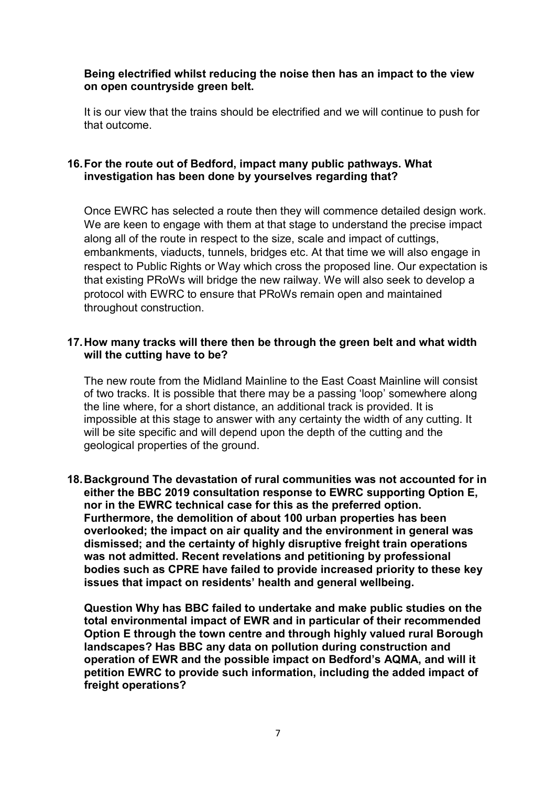## Being electrified whilst reducing the noise then has an impact to the view on open countryside green belt.

 It is our view that the trains should be electrified and we will continue to push for that outcome.

## 16.For the route out of Bedford, impact many public pathways. What investigation has been done by yourselves regarding that?

 Once EWRC has selected a route then they will commence detailed design work. We are keen to engage with them at that stage to understand the precise impact along all of the route in respect to the size, scale and impact of cuttings, embankments, viaducts, tunnels, bridges etc. At that time we will also engage in respect to Public Rights or Way which cross the proposed line. Our expectation is that existing PRoWs will bridge the new railway. We will also seek to develop a protocol with EWRC to ensure that PRoWs remain open and maintained throughout construction.

## 17.How many tracks will there then be through the green belt and what width will the cutting have to be?

 The new route from the Midland Mainline to the East Coast Mainline will consist of two tracks. It is possible that there may be a passing 'loop' somewhere along the line where, for a short distance, an additional track is provided. It is impossible at this stage to answer with any certainty the width of any cutting. It will be site specific and will depend upon the depth of the cutting and the geological properties of the ground.

 18.Background The devastation of rural communities was not accounted for in either the BBC 2019 consultation response to EWRC supporting Option E, nor in the EWRC technical case for this as the preferred option. Furthermore, the demolition of about 100 urban properties has been overlooked; the impact on air quality and the environment in general was dismissed; and the certainty of highly disruptive freight train operations was not admitted. Recent revelations and petitioning by professional bodies such as CPRE have failed to provide increased priority to these key issues that impact on residents' health and general wellbeing.

 Question Why has BBC failed to undertake and make public studies on the total environmental impact of EWR and in particular of their recommended Option E through the town centre and through highly valued rural Borough landscapes? Has BBC any data on pollution during construction and operation of EWR and the possible impact on Bedford's AQMA, and will it petition EWRC to provide such information, including the added impact of freight operations?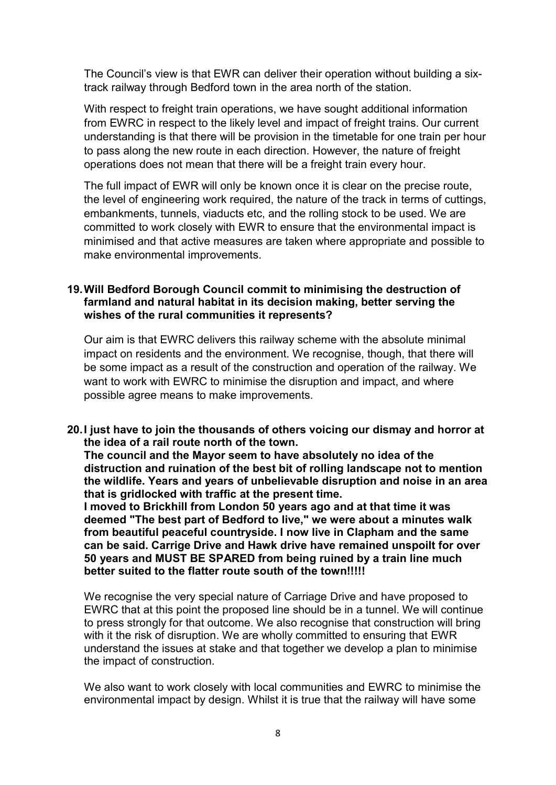The Council's view is that EWR can deliver their operation without building a six-track railway through Bedford town in the area north of the station.

 With respect to freight train operations, we have sought additional information from EWRC in respect to the likely level and impact of freight trains. Our current understanding is that there will be provision in the timetable for one train per hour to pass along the new route in each direction. However, the nature of freight operations does not mean that there will be a freight train every hour.

 The full impact of EWR will only be known once it is clear on the precise route, the level of engineering work required, the nature of the track in terms of cuttings, embankments, tunnels, viaducts etc, and the rolling stock to be used. We are committed to work closely with EWR to ensure that the environmental impact is minimised and that active measures are taken where appropriate and possible to make environmental improvements.

## 19.Will Bedford Borough Council commit to minimising the destruction of farmland and natural habitat in its decision making, better serving the wishes of the rural communities it represents?

 Our aim is that EWRC delivers this railway scheme with the absolute minimal impact on residents and the environment. We recognise, though, that there will be some impact as a result of the construction and operation of the railway. We want to work with EWRC to minimise the disruption and impact, and where possible agree means to make improvements.

 20.I just have to join the thousands of others voicing our dismay and horror at the idea of a rail route north of the town.

 The council and the Mayor seem to have absolutely no idea of the distruction and ruination of the best bit of rolling landscape not to mention the wildlife. Years and years of unbelievable disruption and noise in an area that is gridlocked with traffic at the present time.

 I moved to Brickhill from London 50 years ago and at that time it was deemed "The best part of Bedford to live," we were about a minutes walk from beautiful peaceful countryside. I now live in Clapham and the same can be said. Carrige Drive and Hawk drive have remained unspoilt for over 50 years and MUST BE SPARED from being ruined by a train line much better suited to the flatter route south of the town!!!!!

 We recognise the very special nature of Carriage Drive and have proposed to EWRC that at this point the proposed line should be in a tunnel. We will continue to press strongly for that outcome. We also recognise that construction will bring with it the risk of disruption. We are wholly committed to ensuring that EWR understand the issues at stake and that together we develop a plan to minimise the impact of construction.

 We also want to work closely with local communities and EWRC to minimise the environmental impact by design. Whilst it is true that the railway will have some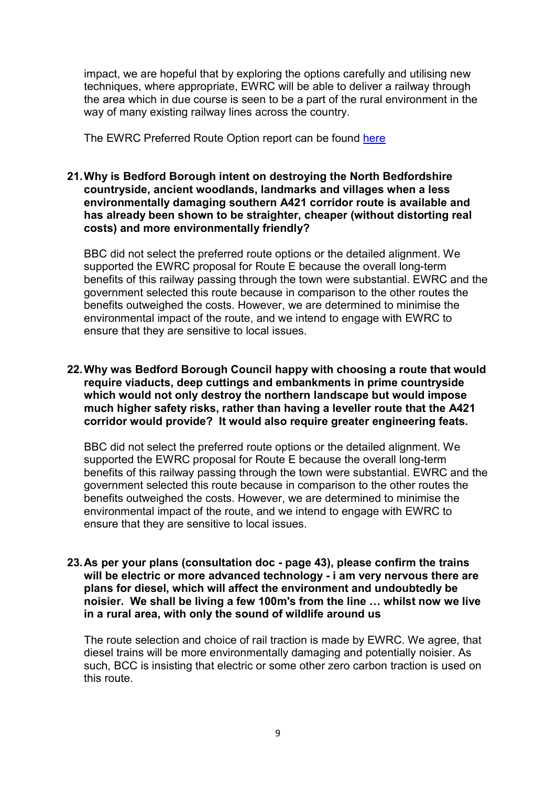impact, we are hopeful that by exploring the options carefully and utilising new techniques, where appropriate, EWRC will be able to deliver a railway through the area which in due course is seen to be a part of the rural environment in the way of many existing railway lines across the country.

The EWRC Preferred Route Option report can be found <u>here</u>

 21.Why is Bedford Borough intent on destroying the North Bedfordshire countryside, ancient woodlands, landmarks and villages when a less environmentally damaging southern A421 corridor route is available and has already been shown to be straighter, cheaper (without distorting real costs) and more environmentally friendly?

 BBC did not select the preferred route options or the detailed alignment. We supported the EWRC proposal for Route E because the overall long-term benefits of this railway passing through the town were substantial. EWRC and the government selected this route because in comparison to the other routes the benefits outweighed the costs. However, we are determined to minimise the environmental impact of the route, and we intend to engage with EWRC to ensure that they are sensitive to local issues.

 22.Why was Bedford Borough Council happy with choosing a route that would require viaducts, deep cuttings and embankments in prime countryside which would not only destroy the northern landscape but would impose much higher safety risks, rather than having a leveller route that the A421 corridor would provide? It would also require greater engineering feats.

 BBC did not select the preferred route options or the detailed alignment. We supported the EWRC proposal for Route E because the overall long-term benefits of this railway passing through the town were substantial. EWRC and the government selected this route because in comparison to the other routes the benefits outweighed the costs. However, we are determined to minimise the environmental impact of the route, and we intend to engage with EWRC to ensure that they are sensitive to local issues.

 23.As per your plans (consultation doc - page 43), please confirm the trains will be electric or more advanced technology - i am very nervous there are plans for diesel, which will affect the environment and undoubtedly be noisier. We shall be living a few 100m's from the line … whilst now we live in a rural area, with only the sound of wildlife around us

 The route selection and choice of rail traction is made by EWRC. We agree, that diesel trains will be more environmentally damaging and potentially noisier. As such, BCC is insisting that electric or some other zero carbon traction is used on this route.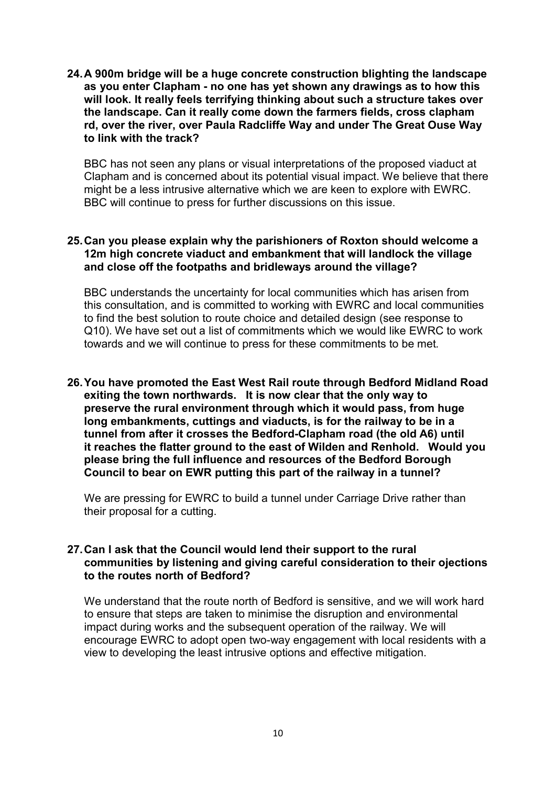24.A 900m bridge will be a huge concrete construction blighting the landscape as you enter Clapham - no one has yet shown any drawings as to how this will look. It really feels terrifying thinking about such a structure takes over the landscape. Can it really come down the farmers fields, cross clapham rd, over the river, over Paula Radcliffe Way and under The Great Ouse Way to link with the track?

 BBC has not seen any plans or visual interpretations of the proposed viaduct at Clapham and is concerned about its potential visual impact. We believe that there might be a less intrusive alternative which we are keen to explore with EWRC. BBC will continue to press for further discussions on this issue.

#### 25.Can you please explain why the parishioners of Roxton should welcome a 12m high concrete viaduct and embankment that will landlock the village and close off the footpaths and bridleways around the village?

 BBC understands the uncertainty for local communities which has arisen from this consultation, and is committed to working with EWRC and local communities to find the best solution to route choice and detailed design (see response to Q10). We have set out a list of commitments which we would like EWRC to work towards and we will continue to press for these commitments to be met.

 26.You have promoted the East West Rail route through Bedford Midland Road exiting the town northwards. It is now clear that the only way to preserve the rural environment through which it would pass, from huge long embankments, cuttings and viaducts, is for the railway to be in a tunnel from after it crosses the Bedford-Clapham road (the old A6) until it reaches the flatter ground to the east of Wilden and Renhold. Would you please bring the full influence and resources of the Bedford Borough Council to bear on EWR putting this part of the railway in a tunnel?

 We are pressing for EWRC to build a tunnel under Carriage Drive rather than their proposal for a cutting.

#### 27.Can I ask that the Council would lend their support to the rural communities by listening and giving careful consideration to their ojections to the routes north of Bedford?

 We understand that the route north of Bedford is sensitive, and we will work hard to ensure that steps are taken to minimise the disruption and environmental impact during works and the subsequent operation of the railway. We will encourage EWRC to adopt open two-way engagement with local residents with a view to developing the least intrusive options and effective mitigation.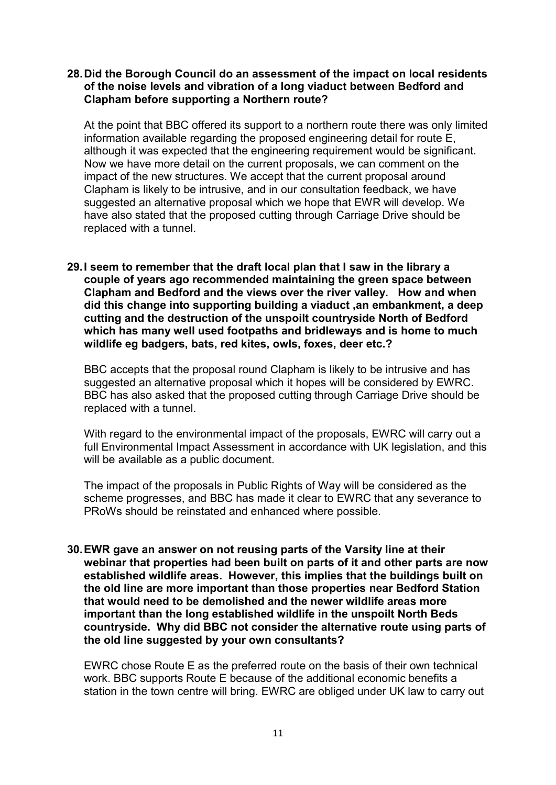## 28.Did the Borough Council do an assessment of the impact on local residents of the noise levels and vibration of a long viaduct between Bedford and Clapham before supporting a Northern route?

 At the point that BBC offered its support to a northern route there was only limited information available regarding the proposed engineering detail for route E, although it was expected that the engineering requirement would be significant. Now we have more detail on the current proposals, we can comment on the impact of the new structures. We accept that the current proposal around Clapham is likely to be intrusive, and in our consultation feedback, we have suggested an alternative proposal which we hope that EWR will develop. We have also stated that the proposed cutting through Carriage Drive should be replaced with a tunnel.

## 29.I seem to remember that the draft local plan that I saw in the library a couple of years ago recommended maintaining the green space between Clapham and Bedford and the views over the river valley. How and when did this change into supporting building a viaduct ,an embankment, a deep cutting and the destruction of the unspoilt countryside North of Bedford which has many well used footpaths and bridleways and is home to much wildlife eg badgers, bats, red kites, owls, foxes, deer etc.?

 BBC accepts that the proposal round Clapham is likely to be intrusive and has suggested an alternative proposal which it hopes will be considered by EWRC. BBC has also asked that the proposed cutting through Carriage Drive should be replaced with a tunnel.

 With regard to the environmental impact of the proposals, EWRC will carry out a full Environmental Impact Assessment in accordance with UK legislation, and this will be available as a public document.

 The impact of the proposals in Public Rights of Way will be considered as the scheme progresses, and BBC has made it clear to EWRC that any severance to PRoWs should be reinstated and enhanced where possible.

 30.EWR gave an answer on not reusing parts of the Varsity line at their webinar that properties had been built on parts of it and other parts are now established wildlife areas. However, this implies that the buildings built on the old line are more important than those properties near Bedford Station that would need to be demolished and the newer wildlife areas more important than the long established wildlife in the unspoilt North Beds countryside. Why did BBC not consider the alternative route using parts of the old line suggested by your own consultants?

 EWRC chose Route E as the preferred route on the basis of their own technical work. BBC supports Route E because of the additional economic benefits a station in the town centre will bring. EWRC are obliged under UK law to carry out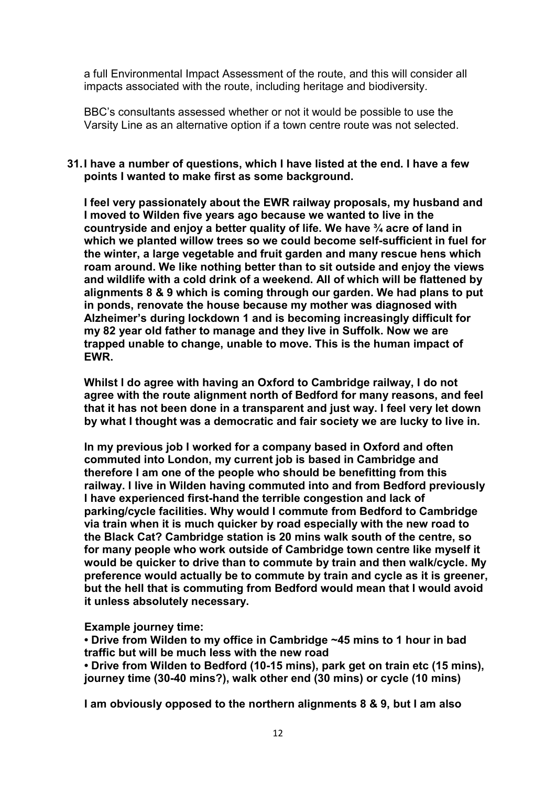a full Environmental Impact Assessment of the route, and this will consider all impacts associated with the route, including heritage and biodiversity.

 BBC's consultants assessed whether or not it would be possible to use the Varsity Line as an alternative option if a town centre route was not selected.

### 31.I have a number of questions, which I have listed at the end. I have a few points I wanted to make first as some background.

 I feel very passionately about the EWR railway proposals, my husband and I moved to Wilden five years ago because we wanted to live in the countryside and enjoy a better quality of life. We have ¾ acre of land in which we planted willow trees so we could become self-sufficient in fuel for the winter, a large vegetable and fruit garden and many rescue hens which roam around. We like nothing better than to sit outside and enjoy the views and wildlife with a cold drink of a weekend. All of which will be flattened by alignments 8 & 9 which is coming through our garden. We had plans to put in ponds, renovate the house because my mother was diagnosed with Alzheimer's during lockdown 1 and is becoming increasingly difficult for my 82 year old father to manage and they live in Suffolk. Now we are trapped unable to change, unable to move. This is the human impact of EWR.

 Whilst I do agree with having an Oxford to Cambridge railway, I do not agree with the route alignment north of Bedford for many reasons, and feel that it has not been done in a transparent and just way. I feel very let down by what I thought was a democratic and fair society we are lucky to live in.

 In my previous job I worked for a company based in Oxford and often commuted into London, my current job is based in Cambridge and therefore I am one of the people who should be benefitting from this railway. I live in Wilden having commuted into and from Bedford previously I have experienced first-hand the terrible congestion and lack of parking/cycle facilities. Why would I commute from Bedford to Cambridge via train when it is much quicker by road especially with the new road to the Black Cat? Cambridge station is 20 mins walk south of the centre, so for many people who work outside of Cambridge town centre like myself it would be quicker to drive than to commute by train and then walk/cycle. My preference would actually be to commute by train and cycle as it is greener, but the hell that is commuting from Bedford would mean that I would avoid it unless absolutely necessary.

Example journey time:

 • Drive from Wilden to my office in Cambridge ~45 mins to 1 hour in bad traffic but will be much less with the new road

 • Drive from Wilden to Bedford (10-15 mins), park get on train etc (15 mins), journey time (30-40 mins?), walk other end (30 mins) or cycle (10 mins)

I am obviously opposed to the northern alignments 8 & 9, but I am also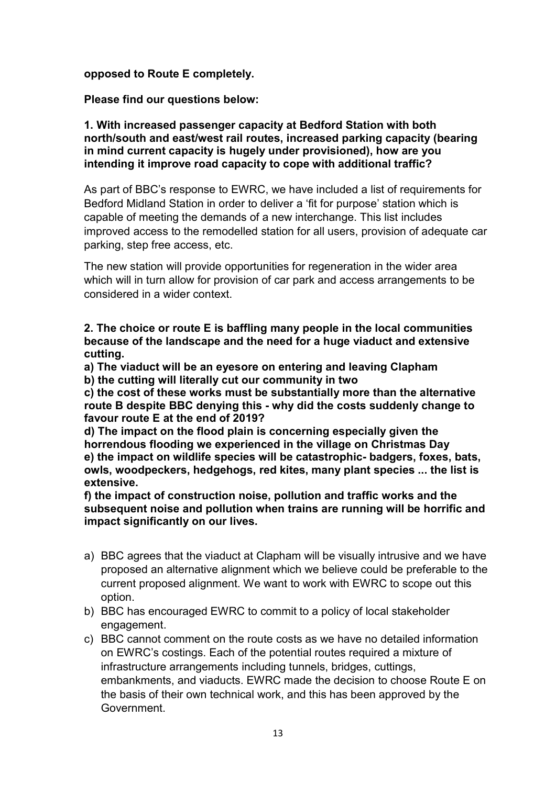## opposed to Route E completely.

Please find our questions below:

#### 1. With increased passenger capacity at Bedford Station with both north/south and east/west rail routes, increased parking capacity (bearing in mind current capacity is hugely under provisioned), how are you intending it improve road capacity to cope with additional traffic?

 As part of BBC's response to EWRC, we have included a list of requirements for Bedford Midland Station in order to deliver a 'fit for purpose' station which is capable of meeting the demands of a new interchange. This list includes improved access to the remodelled station for all users, provision of adequate car parking, step free access, etc.

 The new station will provide opportunities for regeneration in the wider area which will in turn allow for provision of car park and access arrangements to be considered in a wider context.

 2. The choice or route E is baffling many people in the local communities because of the landscape and the need for a huge viaduct and extensive cutting.

 a) The viaduct will be an eyesore on entering and leaving Clapham b) the cutting will literally cut our community in two

 c) the cost of these works must be substantially more than the alternative route B despite BBC denying this - why did the costs suddenly change to favour route E at the end of 2019?

 d) The impact on the flood plain is concerning especially given the horrendous flooding we experienced in the village on Christmas Day e) the impact on wildlife species will be catastrophic- badgers, foxes, bats, owls, woodpeckers, hedgehogs, red kites, many plant species ... the list is extensive.

 f) the impact of construction noise, pollution and traffic works and the subsequent noise and pollution when trains are running will be horrific and impact significantly on our lives.

- a) BBC agrees that the viaduct at Clapham will be visually intrusive and we have proposed an alternative alignment which we believe could be preferable to the current proposed alignment. We want to work with EWRC to scope out this option.
- b) BBC has encouraged EWRC to commit to a policy of local stakeholder engagement.
- c) BBC cannot comment on the route costs as we have no detailed information on EWRC's costings. Each of the potential routes required a mixture of infrastructure arrangements including tunnels, bridges, cuttings, embankments, and viaducts. EWRC made the decision to choose Route E on the basis of their own technical work, and this has been approved by the Government.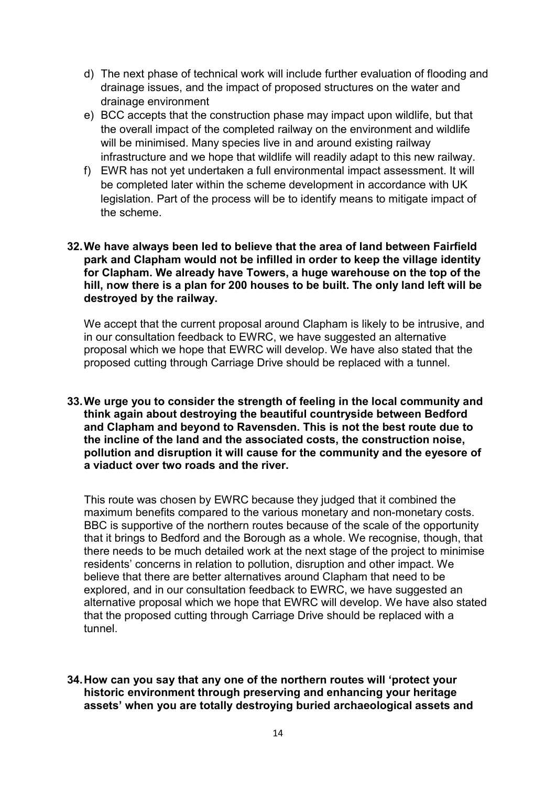- d) The next phase of technical work will include further evaluation of flooding and drainage issues, and the impact of proposed structures on the water and drainage environment
- e) BCC accepts that the construction phase may impact upon wildlife, but that the overall impact of the completed railway on the environment and wildlife will be minimised. Many species live in and around existing railway infrastructure and we hope that wildlife will readily adapt to this new railway.
- f) EWR has not yet undertaken a full environmental impact assessment. It will be completed later within the scheme development in accordance with UK legislation. Part of the process will be to identify means to mitigate impact of the scheme.

### 32.We have always been led to believe that the area of land between Fairfield park and Clapham would not be infilled in order to keep the village identity for Clapham. We already have Towers, a huge warehouse on the top of the hill, now there is a plan for 200 houses to be built. The only land left will be destroyed by the railway.

 We accept that the current proposal around Clapham is likely to be intrusive, and in our consultation feedback to EWRC, we have suggested an alternative proposal which we hope that EWRC will develop. We have also stated that the proposed cutting through Carriage Drive should be replaced with a tunnel.

 33.We urge you to consider the strength of feeling in the local community and think again about destroying the beautiful countryside between Bedford and Clapham and beyond to Ravensden. This is not the best route due to the incline of the land and the associated costs, the construction noise, pollution and disruption it will cause for the community and the eyesore of a viaduct over two roads and the river.

 This route was chosen by EWRC because they judged that it combined the maximum benefits compared to the various monetary and non-monetary costs. BBC is supportive of the northern routes because of the scale of the opportunity that it brings to Bedford and the Borough as a whole. We recognise, though, that there needs to be much detailed work at the next stage of the project to minimise residents' concerns in relation to pollution, disruption and other impact. We believe that there are better alternatives around Clapham that need to be explored, and in our consultation feedback to EWRC, we have suggested an alternative proposal which we hope that EWRC will develop. We have also stated that the proposed cutting through Carriage Drive should be replaced with a tunnel.

 34.How can you say that any one of the northern routes will 'protect your historic environment through preserving and enhancing your heritage assets' when you are totally destroying buried archaeological assets and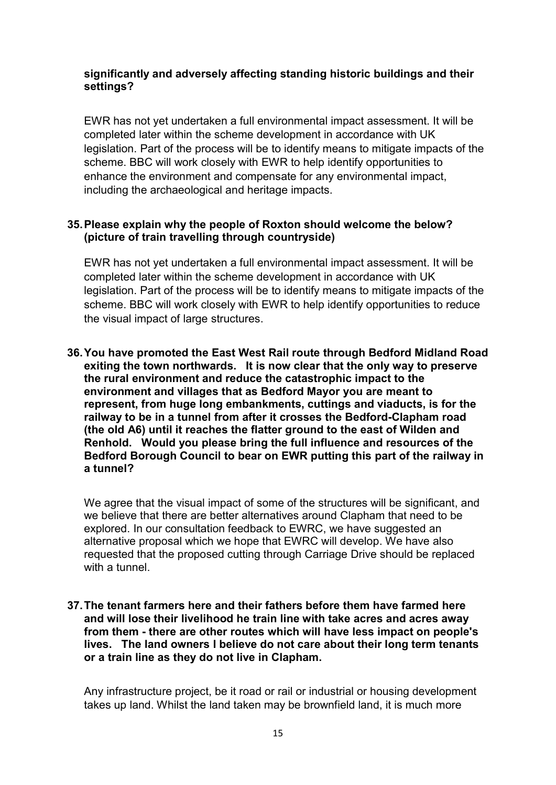## significantly and adversely affecting standing historic buildings and their settings?

 EWR has not yet undertaken a full environmental impact assessment. It will be completed later within the scheme development in accordance with UK legislation. Part of the process will be to identify means to mitigate impacts of the scheme. BBC will work closely with EWR to help identify opportunities to enhance the environment and compensate for any environmental impact, including the archaeological and heritage impacts.

# 35.Please explain why the people of Roxton should welcome the below? (picture of train travelling through countryside)

 EWR has not yet undertaken a full environmental impact assessment. It will be completed later within the scheme development in accordance with UK legislation. Part of the process will be to identify means to mitigate impacts of the scheme. BBC will work closely with EWR to help identify opportunities to reduce the visual impact of large structures.

 36.You have promoted the East West Rail route through Bedford Midland Road exiting the town northwards. It is now clear that the only way to preserve the rural environment and reduce the catastrophic impact to the environment and villages that as Bedford Mayor you are meant to represent, from huge long embankments, cuttings and viaducts, is for the railway to be in a tunnel from after it crosses the Bedford-Clapham road (the old A6) until it reaches the flatter ground to the east of Wilden and Renhold. Would you please bring the full influence and resources of the Bedford Borough Council to bear on EWR putting this part of the railway in a tunnel?

 We agree that the visual impact of some of the structures will be significant, and we believe that there are better alternatives around Clapham that need to be explored. In our consultation feedback to EWRC, we have suggested an alternative proposal which we hope that EWRC will develop. We have also requested that the proposed cutting through Carriage Drive should be replaced with a tunnel.

 37.The tenant farmers here and their fathers before them have farmed here and will lose their livelihood he train line with take acres and acres away from them - there are other routes which will have less impact on people's lives. The land owners I believe do not care about their long term tenants or a train line as they do not live in Clapham.

 Any infrastructure project, be it road or rail or industrial or housing development takes up land. Whilst the land taken may be brownfield land, it is much more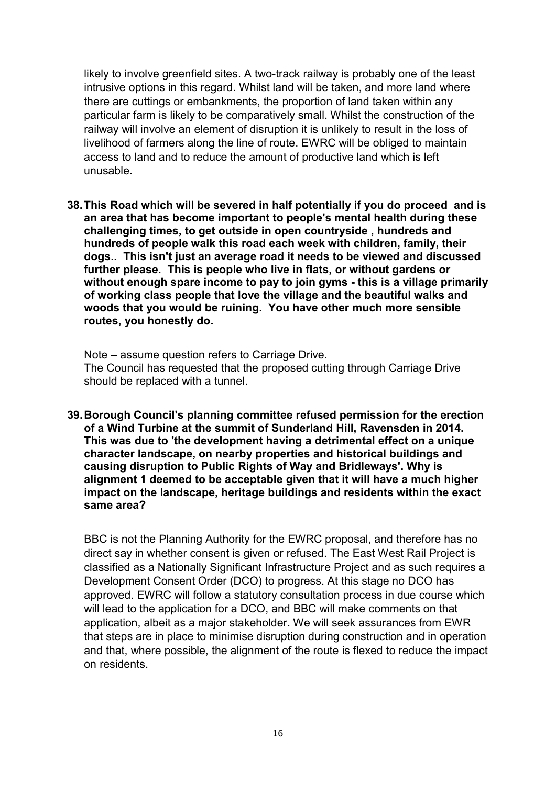likely to involve greenfield sites. A two-track railway is probably one of the least intrusive options in this regard. Whilst land will be taken, and more land where there are cuttings or embankments, the proportion of land taken within any particular farm is likely to be comparatively small. Whilst the construction of the railway will involve an element of disruption it is unlikely to result in the loss of livelihood of farmers along the line of route. EWRC will be obliged to maintain access to land and to reduce the amount of productive land which is left unusable.

 38.This Road which will be severed in half potentially if you do proceed and is an area that has become important to people's mental health during these challenging times, to get outside in open countryside , hundreds and hundreds of people walk this road each week with children, family, their dogs.. This isn't just an average road it needs to be viewed and discussed further please. This is people who live in flats, or without gardens or without enough spare income to pay to join gyms - this is a village primarily of working class people that love the village and the beautiful walks and woods that you would be ruining. You have other much more sensible routes, you honestly do.

 Note – assume question refers to Carriage Drive. The Council has requested that the proposed cutting through Carriage Drive should be replaced with a tunnel.

 39.Borough Council's planning committee refused permission for the erection of a Wind Turbine at the summit of Sunderland Hill, Ravensden in 2014. This was due to 'the development having a detrimental effect on a unique character landscape, on nearby properties and historical buildings and causing disruption to Public Rights of Way and Bridleways'. Why is alignment 1 deemed to be acceptable given that it will have a much higher impact on the landscape, heritage buildings and residents within the exact same area?

 BBC is not the Planning Authority for the EWRC proposal, and therefore has no direct say in whether consent is given or refused. The East West Rail Project is classified as a Nationally Significant Infrastructure Project and as such requires a Development Consent Order (DCO) to progress. At this stage no DCO has approved. EWRC will follow a statutory consultation process in due course which will lead to the application for a DCO, and BBC will make comments on that application, albeit as a major stakeholder. We will seek assurances from EWR that steps are in place to minimise disruption during construction and in operation and that, where possible, the alignment of the route is flexed to reduce the impact on residents.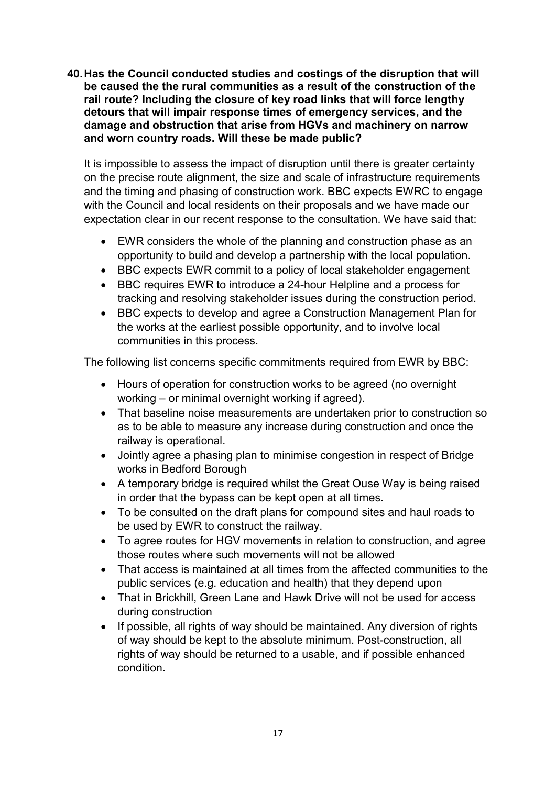40.Has the Council conducted studies and costings of the disruption that will be caused the the rural communities as a result of the construction of the rail route? Including the closure of key road links that will force lengthy detours that will impair response times of emergency services, and the damage and obstruction that arise from HGVs and machinery on narrow and worn country roads. Will these be made public?

 It is impossible to assess the impact of disruption until there is greater certainty on the precise route alignment, the size and scale of infrastructure requirements and the timing and phasing of construction work. BBC expects EWRC to engage with the Council and local residents on their proposals and we have made our expectation clear in our recent response to the consultation. We have said that:

- $\bullet$  opportunity to build and develop a partnership with the local population. EWR considers the whole of the planning and construction phase as an
- BBC expects EWR commit to a policy of local stakeholder engagement
- $\bullet$  tracking and resolving stakeholder issues during the construction period. BBC requires EWR to introduce a 24-hour Helpline and a process for
- $\bullet$  the works at the earliest possible opportunity, and to involve local communities in this process. BBC expects to develop and agree a Construction Management Plan for

The following list concerns specific commitments required from EWR by BBC:

- working or minimal overnight working if agreed). Hours of operation for construction works to be agreed (no overnight
- That baseline noise measurements are undertaken prior to construction so as to be able to measure any increase during construction and once the railway is operational.
- $\bullet$  works in Bedford Borough Jointly agree a phasing plan to minimise congestion in respect of Bridge
- $\bullet$  in order that the bypass can be kept open at all times. A temporary bridge is required whilst the Great Ouse Way is being raised
- To be consulted on the draft plans for compound sites and haul roads to be used by EWR to construct the railway.
- To agree routes for HGV movements in relation to construction, and agree those routes where such movements will not be allowed
- $\bullet$  public services (e.g. education and health) that they depend upon That access is maintained at all times from the affected communities to the
- That in Brickhill, Green Lane and Hawk Drive will not be used for access during construction
- $\bullet$  of way should be kept to the absolute minimum. Post-construction, all rights of way should be returned to a usable, and if possible enhanced If possible, all rights of way should be maintained. Any diversion of rights condition.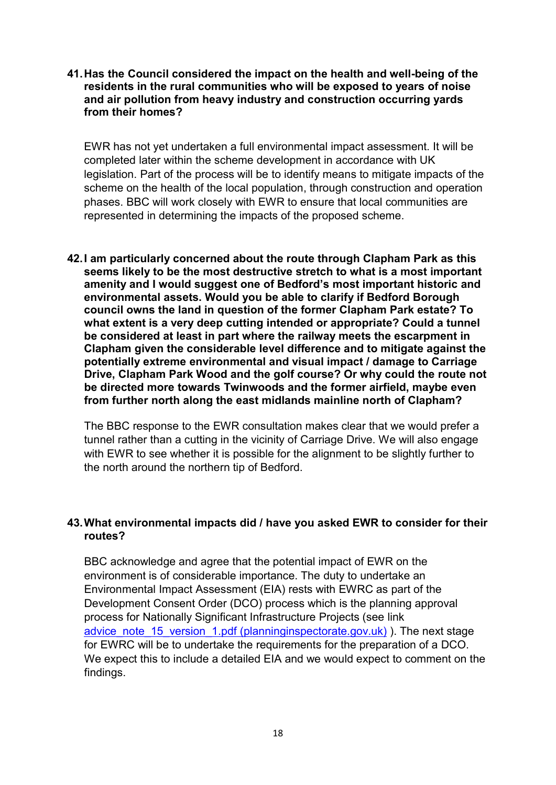41.Has the Council considered the impact on the health and well-being of the residents in the rural communities who will be exposed to years of noise and air pollution from heavy industry and construction occurring yards from their homes?

 EWR has not yet undertaken a full environmental impact assessment. It will be completed later within the scheme development in accordance with UK legislation. Part of the process will be to identify means to mitigate impacts of the scheme on the health of the local population, through construction and operation phases. BBC will work closely with EWR to ensure that local communities are represented in determining the impacts of the proposed scheme.

 42.I am particularly concerned about the route through Clapham Park as this seems likely to be the most destructive stretch to what is a most important amenity and I would suggest one of Bedford's most important historic and environmental assets. Would you be able to clarify if Bedford Borough council owns the land in question of the former Clapham Park estate? To what extent is a very deep cutting intended or appropriate? Could a tunnel be considered at least in part where the railway meets the escarpment in Clapham given the considerable level difference and to mitigate against the potentially extreme environmental and visual impact / damage to Carriage Drive, Clapham Park Wood and the golf course? Or why could the route not be directed more towards Twinwoods and the former airfield, maybe even from further north along the east midlands mainline north of Clapham?

 The BBC response to the EWR consultation makes clear that we would prefer a tunnel rather than a cutting in the vicinity of Carriage Drive. We will also engage with EWR to see whether it is possible for the alignment to be slightly further to the north around the northern tip of Bedford.

## 43.What environmental impacts did / have you asked EWR to consider for their routes?

 BBC acknowledge and agree that the potential impact of EWR on the environment is of considerable importance. The duty to undertake an Environmental Impact Assessment (EIA) rests with EWRC as part of the Development Consent Order (DCO) process which is the planning approval process for Nationally Significant Infrastructure Projects (see link advice\_note\_15\_version\_1.pdf (planninginspectorate.gov.uk) ). The next stage for EWRC will be to undertake the requirements for the preparation of a DCO. We expect this to include a detailed EIA and we would expect to comment on the findings.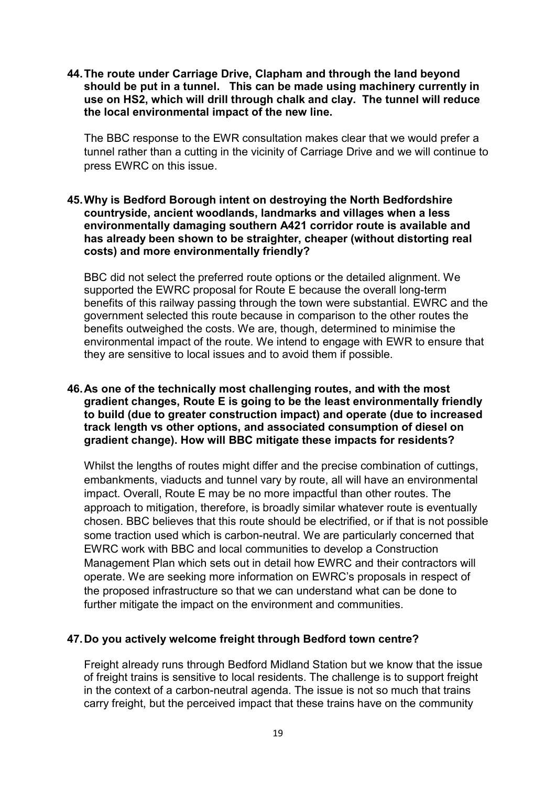44.The route under Carriage Drive, Clapham and through the land beyond should be put in a tunnel. This can be made using machinery currently in use on HS2, which will drill through chalk and clay. The tunnel will reduce the local environmental impact of the new line.

 The BBC response to the EWR consultation makes clear that we would prefer a tunnel rather than a cutting in the vicinity of Carriage Drive and we will continue to press EWRC on this issue.

## 45.Why is Bedford Borough intent on destroying the North Bedfordshire countryside, ancient woodlands, landmarks and villages when a less environmentally damaging southern A421 corridor route is available and has already been shown to be straighter, cheaper (without distorting real costs) and more environmentally friendly?

 BBC did not select the preferred route options or the detailed alignment. We supported the EWRC proposal for Route E because the overall long-term benefits of this railway passing through the town were substantial. EWRC and the government selected this route because in comparison to the other routes the benefits outweighed the costs. We are, though, determined to minimise the environmental impact of the route. We intend to engage with EWR to ensure that they are sensitive to local issues and to avoid them if possible.

### 46.As one of the technically most challenging routes, and with the most gradient changes, Route E is going to be the least environmentally friendly to build (due to greater construction impact) and operate (due to increased track length vs other options, and associated consumption of diesel on gradient change). How will BBC mitigate these impacts for residents?

 Whilst the lengths of routes might differ and the precise combination of cuttings, embankments, viaducts and tunnel vary by route, all will have an environmental impact. Overall, Route E may be no more impactful than other routes. The approach to mitigation, therefore, is broadly similar whatever route is eventually chosen. BBC believes that this route should be electrified, or if that is not possible some traction used which is carbon-neutral. We are particularly concerned that EWRC work with BBC and local communities to develop a Construction Management Plan which sets out in detail how EWRC and their contractors will operate. We are seeking more information on EWRC's proposals in respect of the proposed infrastructure so that we can understand what can be done to further mitigate the impact on the environment and communities.

## 47.Do you actively welcome freight through Bedford town centre?

 Freight already runs through Bedford Midland Station but we know that the issue of freight trains is sensitive to local residents. The challenge is to support freight in the context of a carbon-neutral agenda. The issue is not so much that trains carry freight, but the perceived impact that these trains have on the community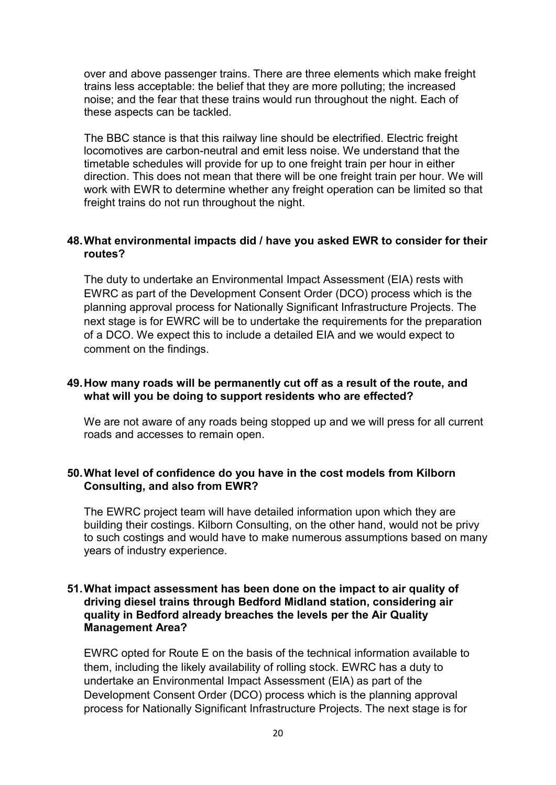over and above passenger trains. There are three elements which make freight trains less acceptable: the belief that they are more polluting; the increased noise; and the fear that these trains would run throughout the night. Each of these aspects can be tackled.

 The BBC stance is that this railway line should be electrified. Electric freight locomotives are carbon-neutral and emit less noise. We understand that the timetable schedules will provide for up to one freight train per hour in either direction. This does not mean that there will be one freight train per hour. We will work with EWR to determine whether any freight operation can be limited so that freight trains do not run throughout the night.

# 48.What environmental impacts did / have you asked EWR to consider for their routes?

 The duty to undertake an Environmental Impact Assessment (EIA) rests with EWRC as part of the Development Consent Order (DCO) process which is the planning approval process for Nationally Significant Infrastructure Projects. The next stage is for EWRC will be to undertake the requirements for the preparation of a DCO. We expect this to include a detailed EIA and we would expect to comment on the findings.

## 49.How many roads will be permanently cut off as a result of the route, and what will you be doing to support residents who are effected?

 We are not aware of any roads being stopped up and we will press for all current roads and accesses to remain open.

## 50.What level of confidence do you have in the cost models from Kilborn Consulting, and also from EWR?

 The EWRC project team will have detailed information upon which they are building their costings. Kilborn Consulting, on the other hand, would not be privy to such costings and would have to make numerous assumptions based on many years of industry experience.

#### 51.What impact assessment has been done on the impact to air quality of driving diesel trains through Bedford Midland station, considering air quality in Bedford already breaches the levels per the Air Quality Management Area?

 EWRC opted for Route E on the basis of the technical information available to them, including the likely availability of rolling stock. EWRC has a duty to undertake an Environmental Impact Assessment (EIA) as part of the Development Consent Order (DCO) process which is the planning approval process for Nationally Significant Infrastructure Projects. The next stage is for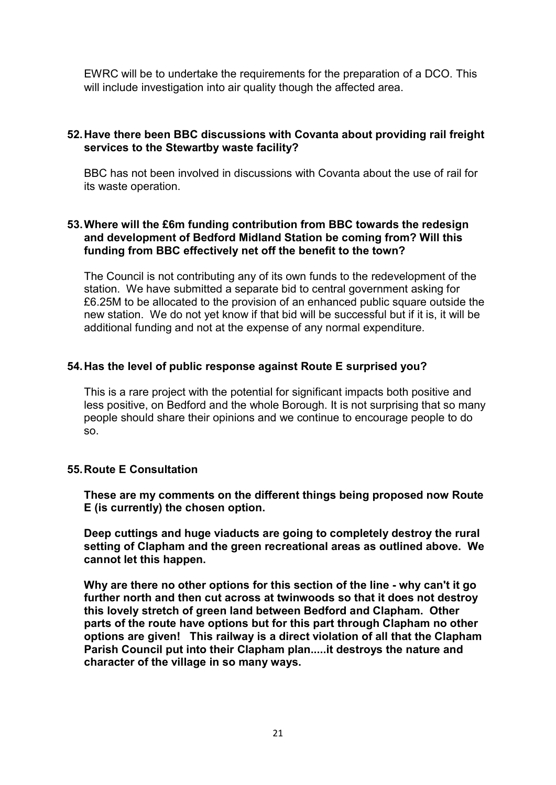EWRC will be to undertake the requirements for the preparation of a DCO. This will include investigation into air quality though the affected area.

# 52.Have there been BBC discussions with Covanta about providing rail freight services to the Stewartby waste facility?

 BBC has not been involved in discussions with Covanta about the use of rail for its waste operation.

## 53.Where will the £6m funding contribution from BBC towards the redesign and development of Bedford Midland Station be coming from? Will this funding from BBC effectively net off the benefit to the town?

 The Council is not contributing any of its own funds to the redevelopment of the station. We have submitted a separate bid to central government asking for £6.25M to be allocated to the provision of an enhanced public square outside the new station. We do not yet know if that bid will be successful but if it is, it will be additional funding and not at the expense of any normal expenditure.

## 54.Has the level of public response against Route E surprised you?

 This is a rare project with the potential for significant impacts both positive and less positive, on Bedford and the whole Borough. It is not surprising that so many people should share their opinions and we continue to encourage people to do so.

## 55.Route E Consultation

 These are my comments on the different things being proposed now Route E (is currently) the chosen option.

 Deep cuttings and huge viaducts are going to completely destroy the rural setting of Clapham and the green recreational areas as outlined above. We cannot let this happen.

 Why are there no other options for this section of the line - why can't it go further north and then cut across at twinwoods so that it does not destroy this lovely stretch of green land between Bedford and Clapham. Other parts of the route have options but for this part through Clapham no other options are given! This railway is a direct violation of all that the Clapham Parish Council put into their Clapham plan.....it destroys the nature and character of the village in so many ways.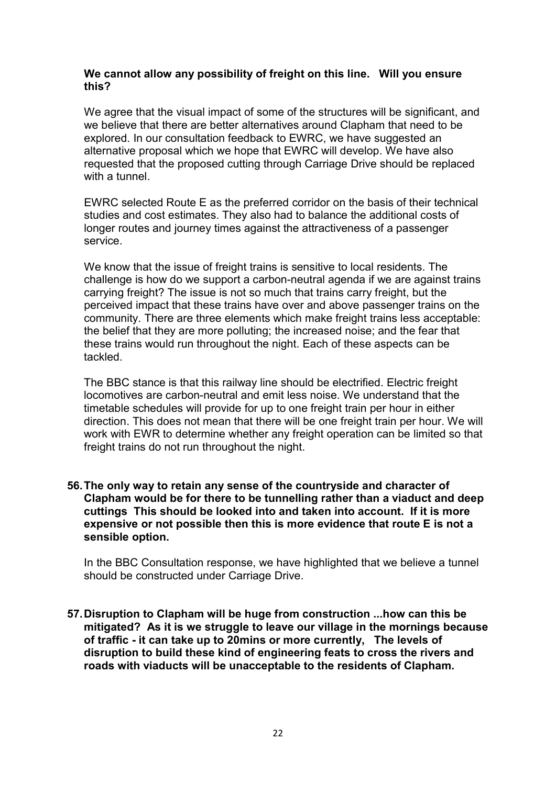#### We cannot allow any possibility of freight on this line. Will you ensure this?

 we believe that there are better alternatives around Clapham that need to be explored. In our consultation feedback to EWRC, we have suggested an alternative proposal which we hope that EWRC will develop. We have also requested that the proposed cutting through Carriage Drive should be replaced with a tunnel. We agree that the visual impact of some of the structures will be significant, and

 EWRC selected Route E as the preferred corridor on the basis of their technical studies and cost estimates. They also had to balance the additional costs of longer routes and journey times against the attractiveness of a passenger service.

 We know that the issue of freight trains is sensitive to local residents. The challenge is how do we support a carbon-neutral agenda if we are against trains carrying freight? The issue is not so much that trains carry freight, but the perceived impact that these trains have over and above passenger trains on the community. There are three elements which make freight trains less acceptable: the belief that they are more polluting; the increased noise; and the fear that these trains would run throughout the night. Each of these aspects can be tackled.

 The BBC stance is that this railway line should be electrified. Electric freight locomotives are carbon-neutral and emit less noise. We understand that the timetable schedules will provide for up to one freight train per hour in either direction. This does not mean that there will be one freight train per hour. We will work with EWR to determine whether any freight operation can be limited so that freight trains do not run throughout the night.

### 56.The only way to retain any sense of the countryside and character of Clapham would be for there to be tunnelling rather than a viaduct and deep cuttings This should be looked into and taken into account. If it is more expensive or not possible then this is more evidence that route E is not a sensible option.

 In the BBC Consultation response, we have highlighted that we believe a tunnel should be constructed under Carriage Drive.

 57.Disruption to Clapham will be huge from construction ...how can this be mitigated? As it is we struggle to leave our village in the mornings because of traffic - it can take up to 20mins or more currently, The levels of disruption to build these kind of engineering feats to cross the rivers and roads with viaducts will be unacceptable to the residents of Clapham.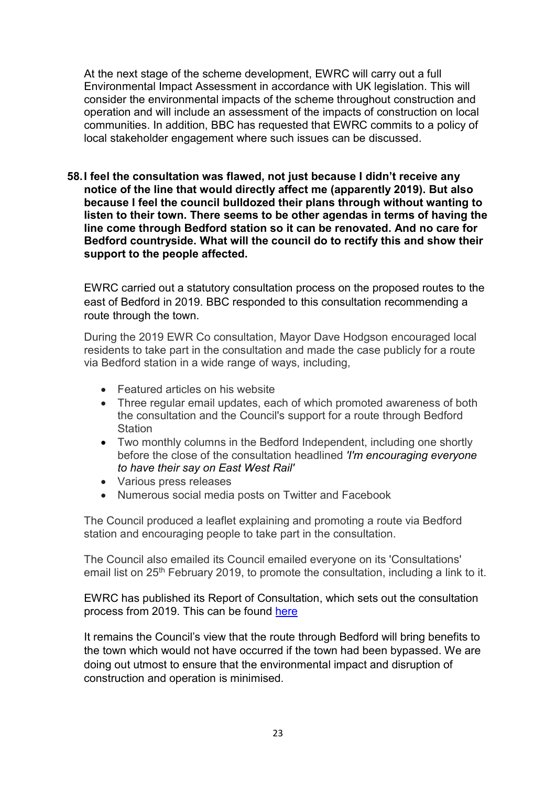At the next stage of the scheme development, EWRC will carry out a full Environmental Impact Assessment in accordance with UK legislation. This will consider the environmental impacts of the scheme throughout construction and operation and will include an assessment of the impacts of construction on local communities. In addition, BBC has requested that EWRC commits to a policy of local stakeholder engagement where such issues can be discussed.

 58.I feel the consultation was flawed, not just because I didn't receive any notice of the line that would directly affect me (apparently 2019). But also because I feel the council bulldozed their plans through without wanting to listen to their town. There seems to be other agendas in terms of having the line come through Bedford station so it can be renovated. And no care for Bedford countryside. What will the council do to rectify this and show their support to the people affected.

 EWRC carried out a statutory consultation process on the proposed routes to the east of Bedford in 2019. BBC responded to this consultation recommending a route through the town.

 During the 2019 EWR Co consultation, Mayor Dave Hodgson encouraged local residents to take part in the consultation and made the case publicly for a route via Bedford station in a wide range of ways, including,

- Featured articles on his website
- Three regular email updates, each of which promoted awareness of both the consultation and the Council's support for a route through Bedford **Station**
- Two monthly columns in the Bedford Independent, including one shortly before the close of the consultation headlined 'I'm encouraging everyone to have their say on East West Rail'
- Various press releases
- Numerous social media posts on Twitter and Facebook

 The Council produced a leaflet explaining and promoting a route via Bedford station and encouraging people to take part in the consultation.

 The Council also emailed its Council emailed everyone on its 'Consultations' email list on 25<sup>th</sup> February 2019, to promote the consultation, including a link to it.

 EWRC has published its Report of Consultation, which sets out the consultation process from 2019. This can be found here

 It remains the Council's view that the route through Bedford will bring benefits to the town which would not have occurred if the town had been bypassed. We are doing out utmost to ensure that the environmental impact and disruption of construction and operation is minimised.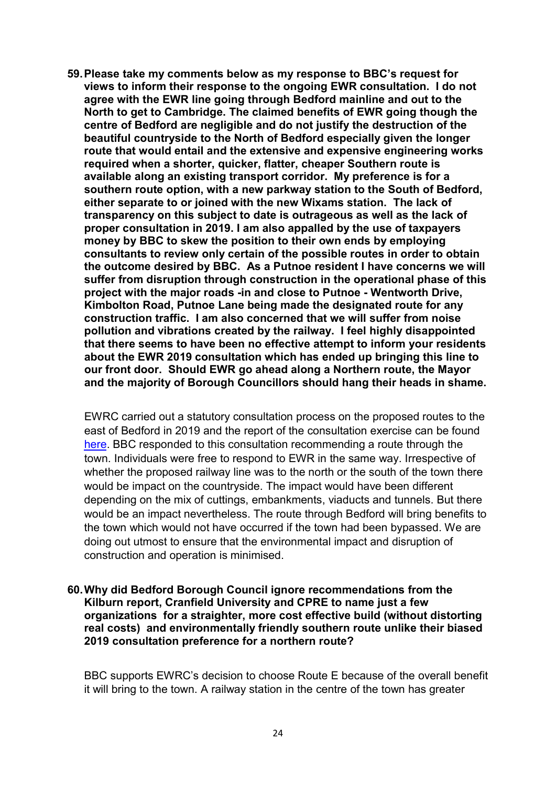59.Please take my comments below as my response to BBC's request for views to inform their response to the ongoing EWR consultation. I do not agree with the EWR line going through Bedford mainline and out to the North to get to Cambridge. The claimed benefits of EWR going though the centre of Bedford are negligible and do not justify the destruction of the beautiful countryside to the North of Bedford especially given the longer route that would entail and the extensive and expensive engineering works required when a shorter, quicker, flatter, cheaper Southern route is available along an existing transport corridor. My preference is for a southern route option, with a new parkway station to the South of Bedford, either separate to or joined with the new Wixams station. The lack of transparency on this subject to date is outrageous as well as the lack of proper consultation in 2019. I am also appalled by the use of taxpayers money by BBC to skew the position to their own ends by employing consultants to review only certain of the possible routes in order to obtain the outcome desired by BBC. As a Putnoe resident I have concerns we will suffer from disruption through construction in the operational phase of this project with the major roads -in and close to Putnoe - Wentworth Drive, Kimbolton Road, Putnoe Lane being made the designated route for any construction traffic. I am also concerned that we will suffer from noise pollution and vibrations created by the railway. I feel highly disappointed that there seems to have been no effective attempt to inform your residents about the EWR 2019 consultation which has ended up bringing this line to our front door. Should EWR go ahead along a Northern route, the Mayor and the majority of Borough Councillors should hang their heads in shame.

 EWRC carried out a statutory consultation process on the proposed routes to the east of Bedford in 2019 and the report of the consultation exercise can be found here. BBC responded to this consultation recommending a route through the town. Individuals were free to respond to EWR in the same way. Irrespective of whether the proposed railway line was to the north or the south of the town there would be impact on the countryside. The impact would have been different depending on the mix of cuttings, embankments, viaducts and tunnels. But there would be an impact nevertheless. The route through Bedford will bring benefits to the town which would not have occurred if the town had been bypassed. We are doing out utmost to ensure that the environmental impact and disruption of construction and operation is minimised.

 60.Why did Bedford Borough Council ignore recommendations from the Kilburn report, Cranfield University and CPRE to name just a few organizations for a straighter, more cost effective build (without distorting real costs) and environmentally friendly southern route unlike their biased 2019 consultation preference for a northern route?

 BBC supports EWRC's decision to choose Route E because of the overall benefit it will bring to the town. A railway station in the centre of the town has greater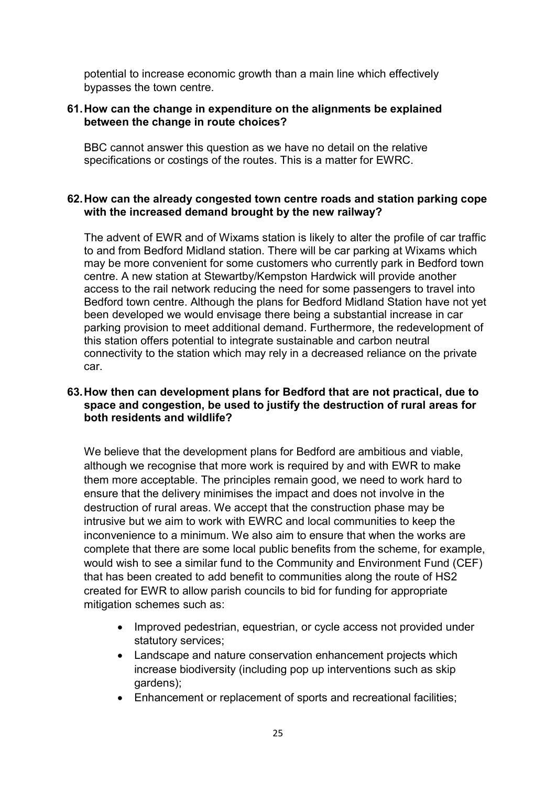potential to increase economic growth than a main line which effectively bypasses the town centre.

## 61.How can the change in expenditure on the alignments be explained between the change in route choices?

 BBC cannot answer this question as we have no detail on the relative specifications or costings of the routes. This is a matter for EWRC.

## 62.How can the already congested town centre roads and station parking cope with the increased demand brought by the new railway?

 The advent of EWR and of Wixams station is likely to alter the profile of car traffic to and from Bedford Midland station. There will be car parking at Wixams which may be more convenient for some customers who currently park in Bedford town centre. A new station at Stewartby/Kempston Hardwick will provide another access to the rail network reducing the need for some passengers to travel into Bedford town centre. Although the plans for Bedford Midland Station have not yet been developed we would envisage there being a substantial increase in car parking provision to meet additional demand. Furthermore, the redevelopment of this station offers potential to integrate sustainable and carbon neutral connectivity to the station which may rely in a decreased reliance on the private car.

## 63.How then can development plans for Bedford that are not practical, due to space and congestion, be used to justify the destruction of rural areas for both residents and wildlife?

 We believe that the development plans for Bedford are ambitious and viable, although we recognise that more work is required by and with EWR to make them more acceptable. The principles remain good, we need to work hard to ensure that the delivery minimises the impact and does not involve in the destruction of rural areas. We accept that the construction phase may be intrusive but we aim to work with EWRC and local communities to keep the inconvenience to a minimum. We also aim to ensure that when the works are complete that there are some local public benefits from the scheme, for example, would wish to see a similar fund to the Community and Environment Fund (CEF) that has been created to add benefit to communities along the route of HS2 created for EWR to allow parish councils to bid for funding for appropriate mitigation schemes such as:

- Improved pedestrian, equestrian, or cycle access not provided under statutory services;
- Landscape and nature conservation enhancement projects which increase biodiversity (including pop up interventions such as skip gardens);
- Enhancement or replacement of sports and recreational facilities;